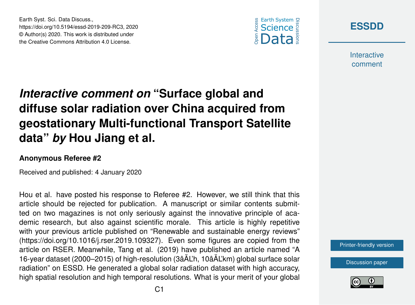



**Interactive** comment

## *Interactive comment on* **"Surface global and diffuse solar radiation over China acquired from geostationary Multi-functional Transport Satellite data"** *by* **Hou Jiang et al.**

## **Anonymous Referee #2**

Earth Syst. Sci. Data Discuss.,

https://doi.org/10.5194/essd-2019-209-RC3, 2020 © Author(s) 2020. This work is distributed under the Creative Commons Attribution 4.0 License.

Received and published: 4 January 2020

Hou et al. have posted his response to Referee #2. However, we still think that this article should be rejected for publication. A manuscript or similar contents submitted on two magazines is not only seriously against the innovative principle of academic research, but also against scientific morale. This article is highly repetitive with your previous article published on "Renewable and sustainable energy reviews" (https://doi.org/10.1016/j.rser.2019.109327). Even some figures are copied from the article on RSER. Meanwhile, Tang et al. (2019) have published an article named "A 16-year dataset (2000–2015) of high-resolution (3âÅL'h, 10âÅL'km) global surface solar radiation" on ESSD. He generated a global solar radiation dataset with high accuracy, high spatial resolution and high temporal resolutions. What is your merit of your global

[Printer-friendly version](https://www.earth-syst-sci-data-discuss.net/essd-2019-209/essd-2019-209-RC3-print.pdf)

[Discussion paper](https://www.earth-syst-sci-data-discuss.net/essd-2019-209)